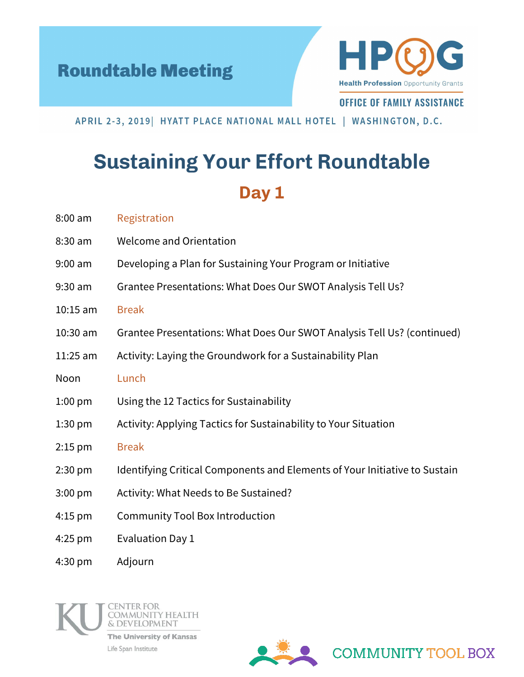



**OFFICE OF FAMILY ASSISTANCE** 

APRIL 2-3, 2019 | HYATT PLACE NATIONAL MALL HOTEL | WASHINGTON, D.C.

## **Sustaining Your Effort Roundtable** Day 1

| $8:00$ am | Registration |
|-----------|--------------|
|-----------|--------------|

- 8:30 am Welcome and Orientation
- 9:00 am Developing a Plan for Sustaining Your Program or Initiative
- 9:30 am Grantee Presentations: What Does Our SWOT Analysis Tell Us?
- 10:15 am Break
- 10:30 am Grantee Presentations: What Does Our SWOT Analysis Tell Us? (continued)
- 11:25 am Activity: Laying the Groundwork for a Sustainability Plan
- Noon Lunch
- 1:00 pm Using the 12 Tactics for Sustainability
- 1:30 pm Activity: Applying Tactics for Sustainability to Your Situation
- 2:15 pm Break
- 2:30 pm Identifying Critical Components and Elements of Your Initiative to Sustain
- 3:00 pm Activity: What Needs to Be Sustained?
- 4:15 pm Community Tool Box Introduction
- 4:25 pm Evaluation Day 1
- 4:30 pm Adjourn





**COMMUNITY TOOL BOX**